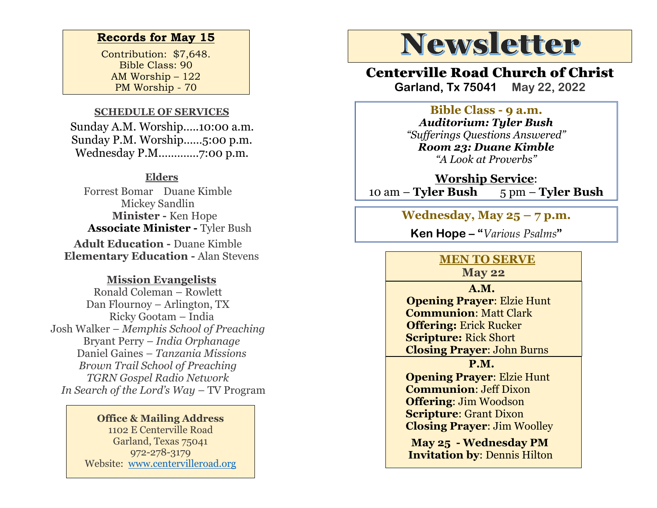#### **Records for May 15**

Contribution: \$7,648. Bible Class: 90 AM Worship – 122 PM Worship - 70

#### **SCHEDULE OF SERVICES**

 Sunday A.M. Worship.….10:00 a.m. Sunday P.M. Worship……5:00 p.m. Wednesday P.M.…………7:00 p.m.

#### **Elders**

Forrest Bomar Duane Kimble Mickey Sandlin  **Minister -** Ken Hope  **Associate Minister -** Tyler Bush **Adult Education -** Duane Kimble **Elementary Education -** Alan Stevens

#### **Mission Evangelists**

Ronald Coleman – Rowlett Dan Flournoy – Arlington, TX Ricky Gootam – India Josh Walker – *Memphis School of Preaching* Bryant Perry – *India Orphanage* Daniel Gaines *– Tanzania Missions Brown Trail School of Preaching TGRN Gospel Radio Network In Search of the Lord's Way* – TV Program

#### **Office & Mailing Address** 1102 E Centerville Road Garland, Texas 75041 972-278-3179

Website: [www.centervilleroad.org](https://d.docs.live.net/97e199c461b763eb/Newsletter/News%202020/August%202020/www.centervilleroad.org)

# **Newsletter**

## Centerville Road Church of Christ

**Garland, Tx 75041 May 22, 2022**

#### **Bible Class - 9 a.m.**

*Auditorium: Tyler Bush "Sufferings Questions Answered" Room 23: Duane Kimble "A Look at Proverbs"*

**Worship Service**: 10 am – **Tyler Bush** 5 pm – **Tyler Bush** 

**Wednesday, May 25 – 7 p.m.** 

**Ken Hope – "***Various Psalms***"** 

## **MEN TO SERVE**

**May 22**

 **A.M. Opening Prayer**: Elzie Hunt  **Communion**: Matt Clark  **Offering:** Erick Rucker  **Scripture:** Rick Short  **Closing Prayer**: John Burns

 **P.M.**

 **Opening Prayer**: Elzie Hunt  **Communion**: Jeff Dixon  **Offering**: Jim Woodson  **Scripture**: Grant Dixon  **Closing Prayer**: Jim Woolley

 **May 25 - Wednesday PM Invitation by**: Dennis Hilton